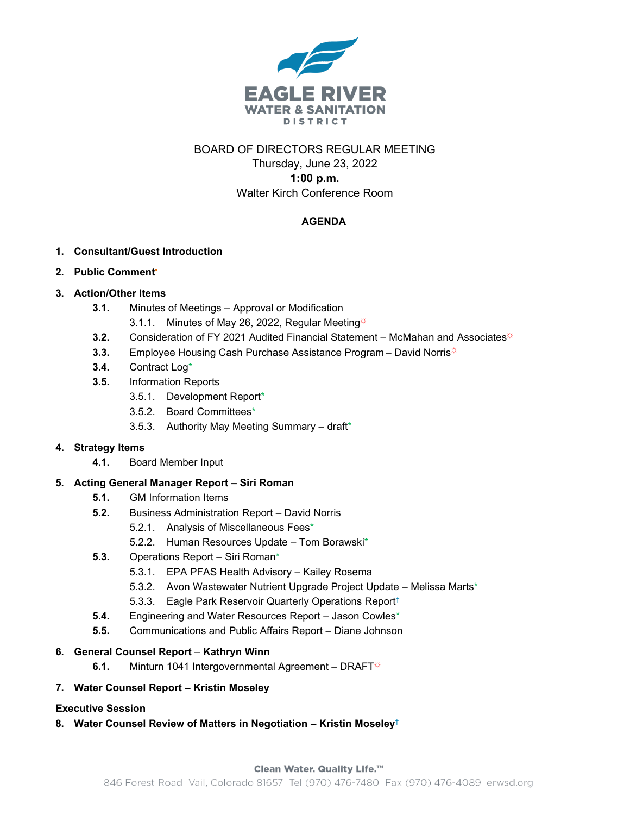

## BOARD OF DIRECTORS REGULAR MEETING Thursday, June 23, 2022 **1:00 p.m.** Walter Kirch Conference Room

### **AGENDA**

#### **1. Consultant/Guest Introduction**

#### **2. Public Comment•**

#### **3. Action/Other Items**

- **3.1.** Minutes of Meetings Approval or Modification
	- 3.1.1. Minutes of May 26, 2022, Regular Meeting $\ddot{\varphi}$
- **3.2.** Consideration of FY 2021 Audited Financial Statement McMahan and Associates<sup>\*</sup>
- **3.3.** Employee Housing Cash Purchase Assistance Program David Norris<sup>☆</sup>
- **3.4.** Contract Log\*
- **3.5.** Information Reports
	- 3.5.1. Development Report\*
	- 3.5.2. Board Committees\*
	- 3.5.3. Authority May Meeting Summary draft\*

#### **4. Strategy Items**

**4.1.** Board Member Input

#### **5. Acting General Manager Report – Siri Roman**

- **5.1.** GM Information Items
- **5.2.** Business Administration Report David Norris
	- 5.2.1. Analysis of Miscellaneous Fees\*
	- 5.2.2. Human Resources Update Tom Borawski\*
- **5.3.** Operations Report Siri Roman\*
	- 5.3.1. EPA PFAS Health Advisory Kailey Rosema
	- 5.3.2. Avon Wastewater Nutrient Upgrade Project Update Melissa Marts\*
	- 5.3.3. Eagle Park Reservoir Quarterly Operations Report†
- **5.4.** Engineering and Water Resources Report Jason Cowles\*
- **5.5.** Communications and Public Affairs Report Diane Johnson

#### **6. General Counsel Report** – **Kathryn Winn**

**6.1.** Minturn 1041 Intergovernmental Agreement – DRAFT<sup>\*</sup>

#### **7. Water Counsel Report – Kristin Moseley**

#### **Executive Session**

**8. Water Counsel Review of Matters in Negotiation – Kristin Moseley**†